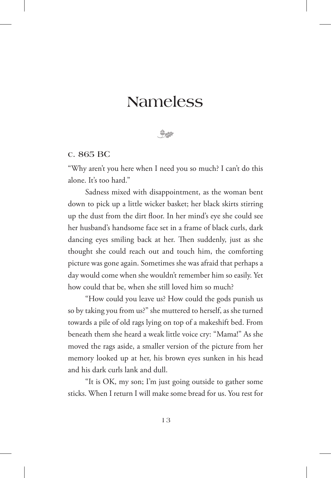$\div$ 

# **c. 865 BC**

"Why aren't you here when I need you so much? I can't do this alone. It's too hard."

Sadness mixed with disappointment, as the woman bent down to pick up a little wicker basket; her black skirts stirring up the dust from the dirt floor. In her mind's eye she could see her husband's handsome face set in a frame of black curls, dark dancing eyes smiling back at her. Then suddenly, just as she thought she could reach out and touch him, the comforting picture was gone again. Sometimes she was afraid that perhaps a day would come when she wouldn't remember him so easily. Yet how could that be, when she still loved him so much?

"How could you leave us? How could the gods punish us so by taking you from us?" she muttered to herself, as she turned towards a pile of old rags lying on top of a makeshift bed. From beneath them she heard a weak little voice cry: "Mama!" As she moved the rags aside, a smaller version of the picture from her memory looked up at her, his brown eyes sunken in his head and his dark curls lank and dull.

"It is OK, my son; I'm just going outside to gather some sticks. When I return I will make some bread for us. You rest for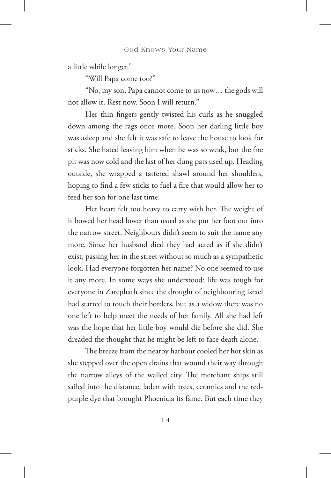a little while longer."

"Will Papa come too?"

"No, my son, Papa cannot come to us now… the gods will not allow it. Rest now. Soon I will return."

Her thin fingers gently twisted his curls as he snuggled down among the rags once more. Soon her darling little boy was asleep and she felt it was safe to leave the house to look for sticks. She hated leaving him when he was so weak, but the fire pit was now cold and the last of her dung pats used up. Heading outside, she wrapped a tattered shawl around her shoulders, hoping to find a few sticks to fuel a fire that would allow her to feed her son for one last time.

Her heart felt too heavy to carry with her. The weight of it bowed her head lower than usual as she put her foot out into the narrow street. Neighbours didn't seem to suit the name any more. Since her husband died they had acted as if she didn't exist, passing her in the street without so much as a sympathetic look. Had everyone forgotten her name? No one seemed to use it any more. In some ways she understood: life was tough for everyone in Zarephath since the drought of neighbouring Israel had started to touch their borders, but as a widow there was no one left to help meet the needs of her family. All she had left was the hope that her little boy would die before she did. She dreaded the thought that he might be left to face death alone.

The breeze from the nearby harbour cooled her hot skin as she stepped over the open drains that wound their way through the narrow alleys of the walled city. The merchant ships still sailed into the distance, laden with trees, ceramics and the redpurple dye that brought Phoenicia its fame. But each time they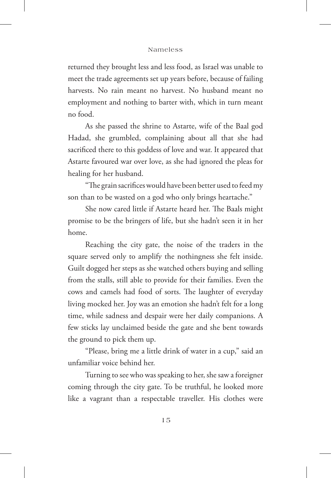returned they brought less and less food, as Israel was unable to meet the trade agreements set up years before, because of failing harvests. No rain meant no harvest. No husband meant no employment and nothing to barter with, which in turn meant no food.

As she passed the shrine to Astarte, wife of the Baal god Hadad, she grumbled, complaining about all that she had sacrificed there to this goddess of love and war. It appeared that Astarte favoured war over love, as she had ignored the pleas for healing for her husband.

"The grain sacrifices would have been better used to feed my son than to be wasted on a god who only brings heartache."

She now cared little if Astarte heard her. The Baals might promise to be the bringers of life, but she hadn't seen it in her home.

Reaching the city gate, the noise of the traders in the square served only to amplify the nothingness she felt inside. Guilt dogged her steps as she watched others buying and selling from the stalls, still able to provide for their families. Even the cows and camels had food of sorts. The laughter of everyday living mocked her. Joy was an emotion she hadn't felt for a long time, while sadness and despair were her daily companions. A few sticks lay unclaimed beside the gate and she bent towards the ground to pick them up.

"Please, bring me a little drink of water in a cup," said an unfamiliar voice behind her.

Turning to see who was speaking to her, she saw a foreigner coming through the city gate. To be truthful, he looked more like a vagrant than a respectable traveller. His clothes were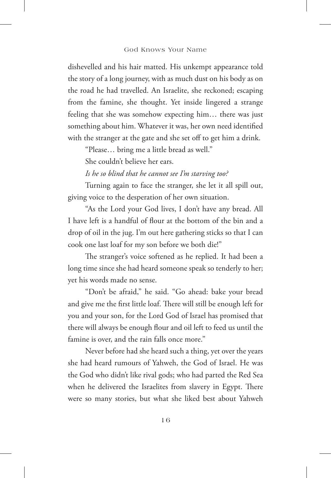dishevelled and his hair matted. His unkempt appearance told the story of a long journey, with as much dust on his body as on the road he had travelled. An Israelite, she reckoned; escaping from the famine, she thought. Yet inside lingered a strange feeling that she was somehow expecting him… there was just something about him. Whatever it was, her own need identified with the stranger at the gate and she set off to get him a drink.

"Please… bring me a little bread as well."

She couldn't believe her ears.

*Is he so blind that he cannot see I'm starving too?*

Turning again to face the stranger, she let it all spill out, giving voice to the desperation of her own situation.

"As the Lord your God lives, I don't have any bread. All I have left is a handful of flour at the bottom of the bin and a drop of oil in the jug. I'm out here gathering sticks so that I can cook one last loaf for my son before we both die!"

The stranger's voice softened as he replied. It had been a long time since she had heard someone speak so tenderly to her; yet his words made no sense.

"Don't be afraid," he said. "Go ahead: bake your bread and give me the first little loaf. There will still be enough left for you and your son, for the Lord God of Israel has promised that there will always be enough flour and oil left to feed us until the famine is over, and the rain falls once more."

Never before had she heard such a thing, yet over the years she had heard rumours of Yahweh, the God of Israel. He was the God who didn't like rival gods; who had parted the Red Sea when he delivered the Israelites from slavery in Egypt. There were so many stories, but what she liked best about Yahweh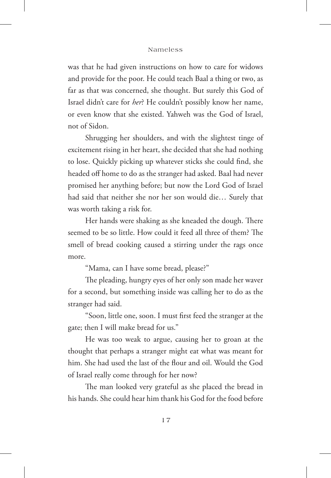was that he had given instructions on how to care for widows and provide for the poor. He could teach Baal a thing or two, as far as that was concerned, she thought. But surely this God of Israel didn't care for *her*? He couldn't possibly know her name, or even know that she existed. Yahweh was the God of Israel, not of Sidon.

Shrugging her shoulders, and with the slightest tinge of excitement rising in her heart, she decided that she had nothing to lose. Quickly picking up whatever sticks she could find, she headed off home to do as the stranger had asked. Baal had never promised her anything before; but now the Lord God of Israel had said that neither she nor her son would die… Surely that was worth taking a risk for.

Her hands were shaking as she kneaded the dough. There seemed to be so little. How could it feed all three of them? The smell of bread cooking caused a stirring under the rags once more.

"Mama, can I have some bread, please?"

The pleading, hungry eyes of her only son made her waver for a second, but something inside was calling her to do as the stranger had said.

"Soon, little one, soon. I must first feed the stranger at the gate; then I will make bread for us."

He was too weak to argue, causing her to groan at the thought that perhaps a stranger might eat what was meant for him. She had used the last of the flour and oil. Would the God of Israel really come through for her now?

The man looked very grateful as she placed the bread in his hands. She could hear him thank his God for the food before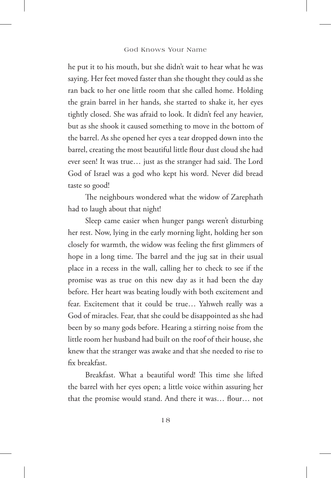he put it to his mouth, but she didn't wait to hear what he was saying. Her feet moved faster than she thought they could as she ran back to her one little room that she called home. Holding the grain barrel in her hands, she started to shake it, her eyes tightly closed. She was afraid to look. It didn't feel any heavier, but as she shook it caused something to move in the bottom of the barrel. As she opened her eyes a tear dropped down into the barrel, creating the most beautiful little flour dust cloud she had ever seen! It was true… just as the stranger had said. The Lord God of Israel was a god who kept his word. Never did bread taste so good!

The neighbours wondered what the widow of Zarephath had to laugh about that night!

Sleep came easier when hunger pangs weren't disturbing her rest. Now, lying in the early morning light, holding her son closely for warmth, the widow was feeling the first glimmers of hope in a long time. The barrel and the jug sat in their usual place in a recess in the wall, calling her to check to see if the promise was as true on this new day as it had been the day before. Her heart was beating loudly with both excitement and fear. Excitement that it could be true… Yahweh really was a God of miracles. Fear, that she could be disappointed as she had been by so many gods before. Hearing a stirring noise from the little room her husband had built on the roof of their house, she knew that the stranger was awake and that she needed to rise to fix breakfast.

Breakfast. What a beautiful word! This time she lifted the barrel with her eyes open; a little voice within assuring her that the promise would stand. And there it was… flour… not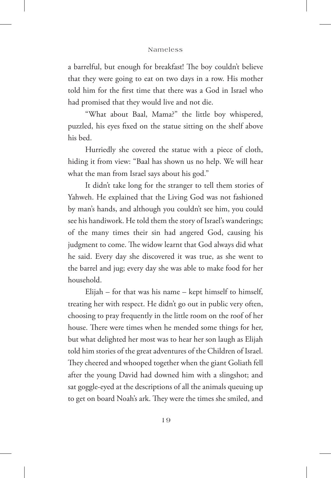a barrelful, but enough for breakfast! The boy couldn't believe that they were going to eat on two days in a row. His mother told him for the first time that there was a God in Israel who had promised that they would live and not die.

"What about Baal, Mama?" the little boy whispered, puzzled, his eyes fixed on the statue sitting on the shelf above his bed.

Hurriedly she covered the statue with a piece of cloth, hiding it from view: "Baal has shown us no help. We will hear what the man from Israel says about his god."

It didn't take long for the stranger to tell them stories of Yahweh. He explained that the Living God was not fashioned by man's hands, and although you couldn't see him, you could see his handiwork. He told them the story of Israel's wanderings; of the many times their sin had angered God, causing his judgment to come. The widow learnt that God always did what he said. Every day she discovered it was true, as she went to the barrel and jug; every day she was able to make food for her household.

Elijah – for that was his name – kept himself to himself, treating her with respect. He didn't go out in public very often, choosing to pray frequently in the little room on the roof of her house. There were times when he mended some things for her, but what delighted her most was to hear her son laugh as Elijah told him stories of the great adventures of the Children of Israel. They cheered and whooped together when the giant Goliath fell after the young David had downed him with a slingshot; and sat goggle-eyed at the descriptions of all the animals queuing up to get on board Noah's ark. They were the times she smiled, and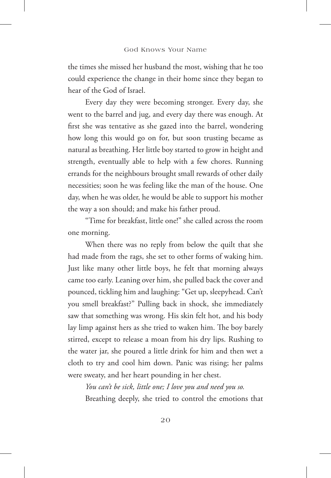the times she missed her husband the most, wishing that he too could experience the change in their home since they began to hear of the God of Israel.

Every day they were becoming stronger. Every day, she went to the barrel and jug, and every day there was enough. At first she was tentative as she gazed into the barrel, wondering how long this would go on for, but soon trusting became as natural as breathing. Her little boy started to grow in height and strength, eventually able to help with a few chores. Running errands for the neighbours brought small rewards of other daily necessities; soon he was feeling like the man of the house. One day, when he was older, he would be able to support his mother the way a son should; and make his father proud.

"Time for breakfast, little one!" she called across the room one morning.

When there was no reply from below the quilt that she had made from the rags, she set to other forms of waking him. Just like many other little boys, he felt that morning always came too early. Leaning over him, she pulled back the cover and pounced, tickling him and laughing: "Get up, sleepyhead. Can't you smell breakfast?" Pulling back in shock, she immediately saw that something was wrong. His skin felt hot, and his body lay limp against hers as she tried to waken him. The boy barely stirred, except to release a moan from his dry lips. Rushing to the water jar, she poured a little drink for him and then wet a cloth to try and cool him down. Panic was rising; her palms were sweaty, and her heart pounding in her chest.

*You can't be sick, little one; I love you and need you so.* Breathing deeply, she tried to control the emotions that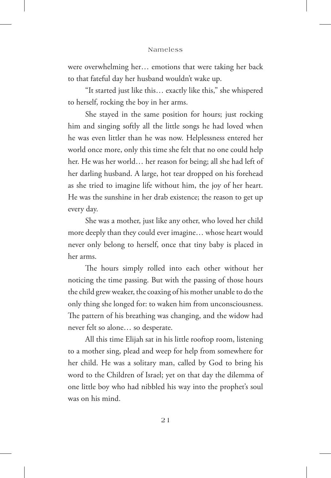were overwhelming her… emotions that were taking her back to that fateful day her husband wouldn't wake up.

"It started just like this… exactly like this," she whispered to herself, rocking the boy in her arms.

She stayed in the same position for hours; just rocking him and singing softly all the little songs he had loved when he was even littler than he was now. Helplessness entered her world once more, only this time she felt that no one could help her. He was her world… her reason for being; all she had left of her darling husband. A large, hot tear dropped on his forehead as she tried to imagine life without him, the joy of her heart. He was the sunshine in her drab existence; the reason to get up every day.

She was a mother, just like any other, who loved her child more deeply than they could ever imagine… whose heart would never only belong to herself, once that tiny baby is placed in her arms.

The hours simply rolled into each other without her noticing the time passing. But with the passing of those hours the child grew weaker, the coaxing of his mother unable to do the only thing she longed for: to waken him from unconsciousness. The pattern of his breathing was changing, and the widow had never felt so alone… so desperate.

All this time Elijah sat in his little rooftop room, listening to a mother sing, plead and weep for help from somewhere for her child. He was a solitary man, called by God to bring his word to the Children of Israel; yet on that day the dilemma of one little boy who had nibbled his way into the prophet's soul was on his mind.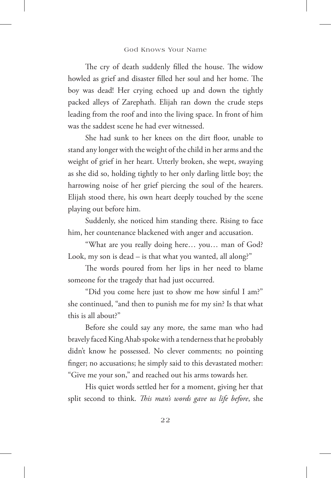The cry of death suddenly filled the house. The widow howled as grief and disaster filled her soul and her home. The boy was dead! Her crying echoed up and down the tightly packed alleys of Zarephath. Elijah ran down the crude steps leading from the roof and into the living space. In front of him was the saddest scene he had ever witnessed.

She had sunk to her knees on the dirt floor, unable to stand any longer with the weight of the child in her arms and the weight of grief in her heart. Utterly broken, she wept, swaying as she did so, holding tightly to her only darling little boy; the harrowing noise of her grief piercing the soul of the hearers. Elijah stood there, his own heart deeply touched by the scene playing out before him.

Suddenly, she noticed him standing there. Rising to face him, her countenance blackened with anger and accusation.

"What are you really doing here… you… man of God? Look, my son is dead – is that what you wanted, all along?"

The words poured from her lips in her need to blame someone for the tragedy that had just occurred.

"Did you come here just to show me how sinful I am?" she continued, "and then to punish me for my sin? Is that what this is all about?"

Before she could say any more, the same man who had bravely faced King Ahab spoke with a tenderness that he probably didn't know he possessed. No clever comments; no pointing finger; no accusations; he simply said to this devastated mother: "Give me your son," and reached out his arms towards her.

His quiet words settled her for a moment, giving her that split second to think. *This man's words gave us life before*, she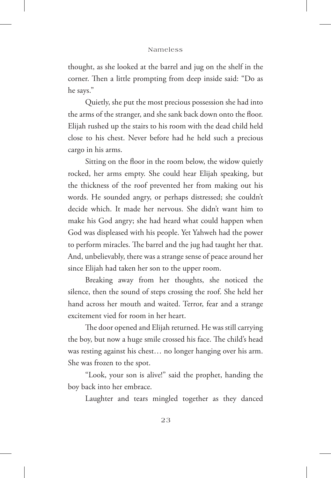thought, as she looked at the barrel and jug on the shelf in the corner. Then a little prompting from deep inside said: "Do as he says."

Quietly, she put the most precious possession she had into the arms of the stranger, and she sank back down onto the floor. Elijah rushed up the stairs to his room with the dead child held close to his chest. Never before had he held such a precious cargo in his arms.

Sitting on the floor in the room below, the widow quietly rocked, her arms empty. She could hear Elijah speaking, but the thickness of the roof prevented her from making out his words. He sounded angry, or perhaps distressed; she couldn't decide which. It made her nervous. She didn't want him to make his God angry; she had heard what could happen when God was displeased with his people. Yet Yahweh had the power to perform miracles. The barrel and the jug had taught her that. And, unbelievably, there was a strange sense of peace around her since Elijah had taken her son to the upper room.

Breaking away from her thoughts, she noticed the silence, then the sound of steps crossing the roof. She held her hand across her mouth and waited. Terror, fear and a strange excitement vied for room in her heart.

The door opened and Elijah returned. He was still carrying the boy, but now a huge smile crossed his face. The child's head was resting against his chest… no longer hanging over his arm. She was frozen to the spot.

"Look, your son is alive!" said the prophet, handing the boy back into her embrace.

Laughter and tears mingled together as they danced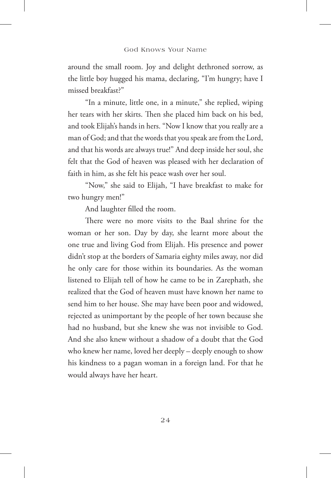around the small room. Joy and delight dethroned sorrow, as the little boy hugged his mama, declaring, "I'm hungry; have I missed breakfast?"

"In a minute, little one, in a minute," she replied, wiping her tears with her skirts. Then she placed him back on his bed, and took Elijah's hands in hers. "Now I know that you really are a man of God; and that the words that you speak are from the Lord, and that his words are always true!" And deep inside her soul, she felt that the God of heaven was pleased with her declaration of faith in him, as she felt his peace wash over her soul.

"Now," she said to Elijah, "I have breakfast to make for two hungry men!"

And laughter filled the room.

There were no more visits to the Baal shrine for the woman or her son. Day by day, she learnt more about the one true and living God from Elijah. His presence and power didn't stop at the borders of Samaria eighty miles away, nor did he only care for those within its boundaries. As the woman listened to Elijah tell of how he came to be in Zarephath, she realized that the God of heaven must have known her name to send him to her house. She may have been poor and widowed, rejected as unimportant by the people of her town because she had no husband, but she knew she was not invisible to God. And she also knew without a shadow of a doubt that the God who knew her name, loved her deeply – deeply enough to show his kindness to a pagan woman in a foreign land. For that he would always have her heart.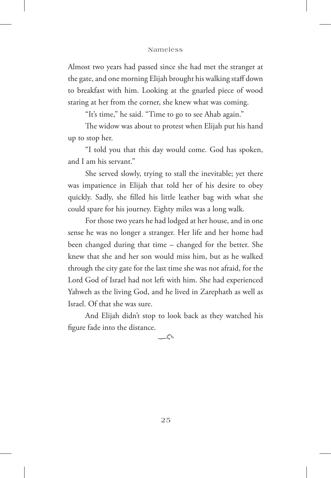Almost two years had passed since she had met the stranger at the gate, and one morning Elijah brought his walking staff down to breakfast with him. Looking at the gnarled piece of wood staring at her from the corner, she knew what was coming.

"It's time," he said. "Time to go to see Ahab again."

The widow was about to protest when Elijah put his hand up to stop her.

"I told you that this day would come. God has spoken, and I am his servant."

She served slowly, trying to stall the inevitable; yet there was impatience in Elijah that told her of his desire to obey quickly. Sadly, she filled his little leather bag with what she could spare for his journey. Eighty miles was a long walk.

For those two years he had lodged at her house, and in one sense he was no longer a stranger. Her life and her home had been changed during that time – changed for the better. She knew that she and her son would miss him, but as he walked through the city gate for the last time she was not afraid, for the Lord God of Israel had not left with him. She had experienced Yahweh as the living God, and he lived in Zarephath as well as Israel. Of that she was sure.

And Elijah didn't stop to look back as they watched his figure fade into the distance.

 $\mathcal{G}$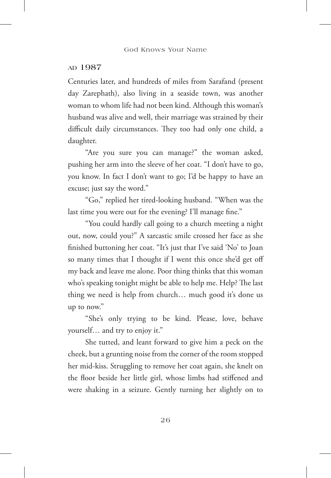# **ad 1987**

Centuries later, and hundreds of miles from Sarafand (present day Zarephath), also living in a seaside town, was another woman to whom life had not been kind. Although this woman's husband was alive and well, their marriage was strained by their difficult daily circumstances. They too had only one child, a daughter.

"Are you sure you can manage?" the woman asked, pushing her arm into the sleeve of her coat. "I don't have to go, you know. In fact I don't want to go; I'd be happy to have an excuse; just say the word."

"Go," replied her tired-looking husband. "When was the last time you were out for the evening? I'll manage fine."

"You could hardly call going to a church meeting a night out, now, could you?" A sarcastic smile crossed her face as she finished buttoning her coat. "It's just that I've said 'No' to Joan so many times that I thought if I went this once she'd get off my back and leave me alone. Poor thing thinks that this woman who's speaking tonight might be able to help me. Help? The last thing we need is help from church… much good it's done us up to now."

"She's only trying to be kind. Please, love, behave yourself… and try to enjoy it."

She tutted, and leant forward to give him a peck on the cheek, but a grunting noise from the corner of the room stopped her mid-kiss. Struggling to remove her coat again, she knelt on the floor beside her little girl, whose limbs had stiffened and were shaking in a seizure. Gently turning her slightly on to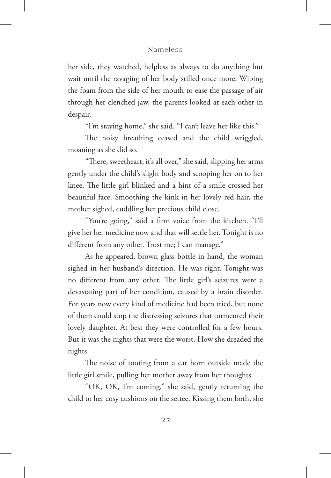her side, they watched, helpless as always to do anything but wait until the ravaging of her body stilled once more. Wiping the foam from the side of her mouth to ease the passage of air through her clenched jaw, the parents looked at each other in despair.

"I'm staying home," she said. "I can't leave her like this."

The noisy breathing ceased and the child wriggled, moaning as she did so.

"There, sweetheart; it's all over," she said, slipping her arms gently under the child's slight body and scooping her on to her knee. The little girl blinked and a hint of a smile crossed her beautiful face. Smoothing the kink in her lovely red hair, the mother sighed, cuddling her precious child close.

"You're going," said a firm voice from the kitchen. "I'll give her her medicine now and that will settle her. Tonight is no different from any other. Trust me; I can manage."

As he appeared, brown glass bottle in hand, the woman sighed in her husband's direction. He was right. Tonight was no different from any other. The little girl's seizures were a devastating part of her condition, caused by a brain disorder. For years now every kind of medicine had been tried, but none of them could stop the distressing seizures that tormented their lovely daughter. At best they were controlled for a few hours. But it was the nights that were the worst. How she dreaded the nights.

The noise of tooting from a car horn outside made the little girl smile, pulling her mother away from her thoughts.

"OK, OK, I'm coming," she said, gently returning the child to her cosy cushions on the settee. Kissing them both, she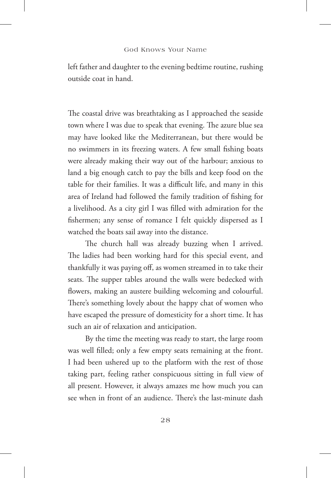left father and daughter to the evening bedtime routine, rushing outside coat in hand.

The coastal drive was breathtaking as I approached the seaside town where I was due to speak that evening. The azure blue sea may have looked like the Mediterranean, but there would be no swimmers in its freezing waters. A few small fishing boats were already making their way out of the harbour; anxious to land a big enough catch to pay the bills and keep food on the table for their families. It was a difficult life, and many in this area of Ireland had followed the family tradition of fishing for a livelihood. As a city girl I was filled with admiration for the fishermen; any sense of romance I felt quickly dispersed as I watched the boats sail away into the distance.

The church hall was already buzzing when I arrived. The ladies had been working hard for this special event, and thankfully it was paying off, as women streamed in to take their seats. The supper tables around the walls were bedecked with flowers, making an austere building welcoming and colourful. There's something lovely about the happy chat of women who have escaped the pressure of domesticity for a short time. It has such an air of relaxation and anticipation.

By the time the meeting was ready to start, the large room was well filled; only a few empty seats remaining at the front. I had been ushered up to the platform with the rest of those taking part, feeling rather conspicuous sitting in full view of all present. However, it always amazes me how much you can see when in front of an audience. There's the last-minute dash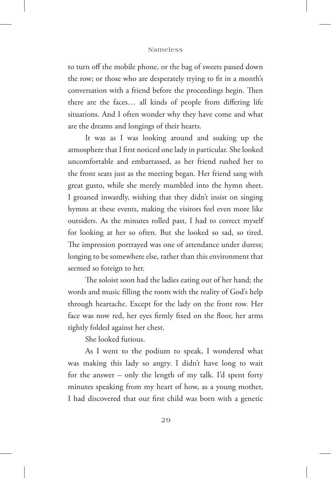to turn off the mobile phone, or the bag of sweets passed down the row; or those who are desperately trying to fit in a month's conversation with a friend before the proceedings begin. Then there are the faces… all kinds of people from differing life situations. And I often wonder why they have come and what are the dreams and longings of their hearts.

It was as I was looking around and soaking up the atmosphere that I first noticed one lady in particular. She looked uncomfortable and embarrassed, as her friend rushed her to the front seats just as the meeting began. Her friend sang with great gusto, while she merely mumbled into the hymn sheet. I groaned inwardly, wishing that they didn't insist on singing hymns at these events, making the visitors feel even more like outsiders. As the minutes rolled past, I had to correct myself for looking at her so often. But she looked so sad, so tired. The impression portrayed was one of attendance under duress; longing to be somewhere else, rather than this environment that seemed so foreign to her.

The soloist soon had the ladies eating out of her hand; the words and music filling the room with the reality of God's help through heartache. Except for the lady on the front row. Her face was now red, her eyes firmly fixed on the floor, her arms tightly folded against her chest.

She looked furious.

As I went to the podium to speak, I wondered what was making this lady so angry. I didn't have long to wait for the answer – only the length of my talk. I'd spent forty minutes speaking from my heart of how, as a young mother, I had discovered that our first child was born with a genetic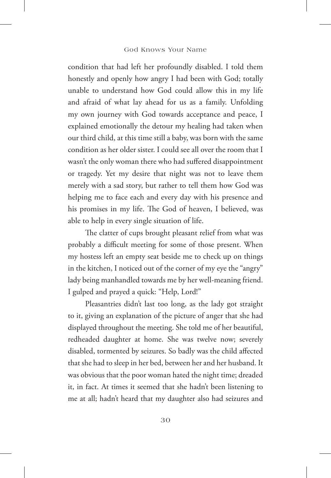condition that had left her profoundly disabled. I told them honestly and openly how angry I had been with God; totally unable to understand how God could allow this in my life and afraid of what lay ahead for us as a family. Unfolding my own journey with God towards acceptance and peace, I explained emotionally the detour my healing had taken when our third child, at this time still a baby, was born with the same condition as her older sister. I could see all over the room that I wasn't the only woman there who had suffered disappointment or tragedy. Yet my desire that night was not to leave them merely with a sad story, but rather to tell them how God was helping me to face each and every day with his presence and his promises in my life. The God of heaven, I believed, was able to help in every single situation of life.

The clatter of cups brought pleasant relief from what was probably a difficult meeting for some of those present. When my hostess left an empty seat beside me to check up on things in the kitchen, I noticed out of the corner of my eye the "angry" lady being manhandled towards me by her well-meaning friend. I gulped and prayed a quick: "Help, Lord!"

Pleasantries didn't last too long, as the lady got straight to it, giving an explanation of the picture of anger that she had displayed throughout the meeting. She told me of her beautiful, redheaded daughter at home. She was twelve now; severely disabled, tormented by seizures. So badly was the child affected that she had to sleep in her bed, between her and her husband. It was obvious that the poor woman hated the night time; dreaded it, in fact. At times it seemed that she hadn't been listening to me at all; hadn't heard that my daughter also had seizures and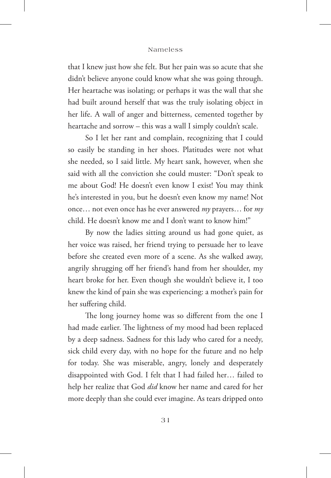that I knew just how she felt. But her pain was so acute that she didn't believe anyone could know what she was going through. Her heartache was isolating; or perhaps it was the wall that she had built around herself that was the truly isolating object in her life. A wall of anger and bitterness, cemented together by heartache and sorrow – this was a wall I simply couldn't scale.

So I let her rant and complain, recognizing that I could so easily be standing in her shoes. Platitudes were not what she needed, so I said little. My heart sank, however, when she said with all the conviction she could muster: "Don't speak to me about God! He doesn't even know I exist! You may think he's interested in you, but he doesn't even know my name! Not once… not even once has he ever answered *my* prayers… for *my* child. He doesn't know me and I don't want to know him!"

By now the ladies sitting around us had gone quiet, as her voice was raised, her friend trying to persuade her to leave before she created even more of a scene. As she walked away, angrily shrugging off her friend's hand from her shoulder, my heart broke for her. Even though she wouldn't believe it, I too knew the kind of pain she was experiencing: a mother's pain for her suffering child.

The long journey home was so different from the one I had made earlier. The lightness of my mood had been replaced by a deep sadness. Sadness for this lady who cared for a needy, sick child every day, with no hope for the future and no help for today. She was miserable, angry, lonely and desperately disappointed with God. I felt that I had failed her… failed to help her realize that God *did* know her name and cared for her more deeply than she could ever imagine. As tears dripped onto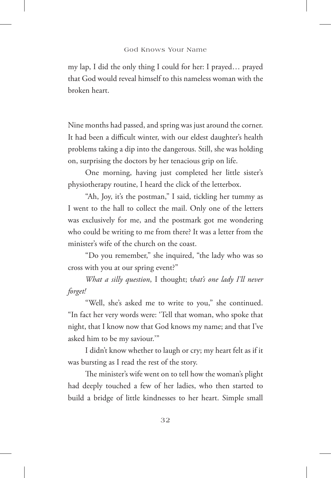my lap, I did the only thing I could for her: I prayed… prayed that God would reveal himself to this nameless woman with the broken heart.

Nine months had passed, and spring was just around the corner. It had been a difficult winter, with our eldest daughter's health problems taking a dip into the dangerous. Still, she was holding on, surprising the doctors by her tenacious grip on life.

One morning, having just completed her little sister's physiotherapy routine, I heard the click of the letterbox.

"Ah, Joy, it's the postman," I said, tickling her tummy as I went to the hall to collect the mail. Only one of the letters was exclusively for me, and the postmark got me wondering who could be writing to me from there? It was a letter from the minister's wife of the church on the coast.

"Do you remember," she inquired, "the lady who was so cross with you at our spring event?"

*What a silly question*, I thought; t*hat's one lady I'll never forget!*

"Well, she's asked me to write to you," she continued. "In fact her very words were: 'Tell that woman, who spoke that night, that I know now that God knows my name; and that I've asked him to be my saviour.'"

I didn't know whether to laugh or cry; my heart felt as if it was bursting as I read the rest of the story.

The minister's wife went on to tell how the woman's plight had deeply touched a few of her ladies, who then started to build a bridge of little kindnesses to her heart. Simple small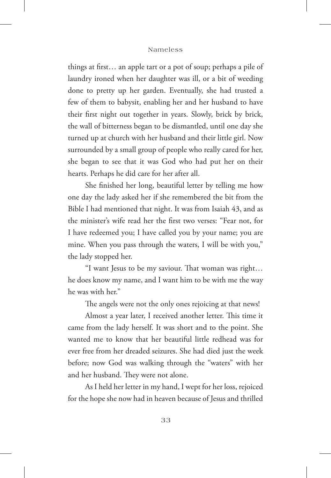things at first… an apple tart or a pot of soup; perhaps a pile of laundry ironed when her daughter was ill, or a bit of weeding done to pretty up her garden. Eventually, she had trusted a few of them to babysit, enabling her and her husband to have their first night out together in years. Slowly, brick by brick, the wall of bitterness began to be dismantled, until one day she turned up at church with her husband and their little girl. Now surrounded by a small group of people who really cared for her, she began to see that it was God who had put her on their hearts. Perhaps he did care for her after all.

She finished her long, beautiful letter by telling me how one day the lady asked her if she remembered the bit from the Bible I had mentioned that night. It was from Isaiah 43, and as the minister's wife read her the first two verses: "Fear not, for I have redeemed you; I have called you by your name; you are mine. When you pass through the waters, I will be with you," the lady stopped her.

"I want Jesus to be my saviour. That woman was right… he does know my name, and I want him to be with me the way he was with her."

The angels were not the only ones rejoicing at that news!

Almost a year later, I received another letter. This time it came from the lady herself. It was short and to the point. She wanted me to know that her beautiful little redhead was for ever free from her dreaded seizures. She had died just the week before; now God was walking through the "waters" with her and her husband. They were not alone.

As I held her letter in my hand, I wept for her loss, rejoiced for the hope she now had in heaven because of Jesus and thrilled